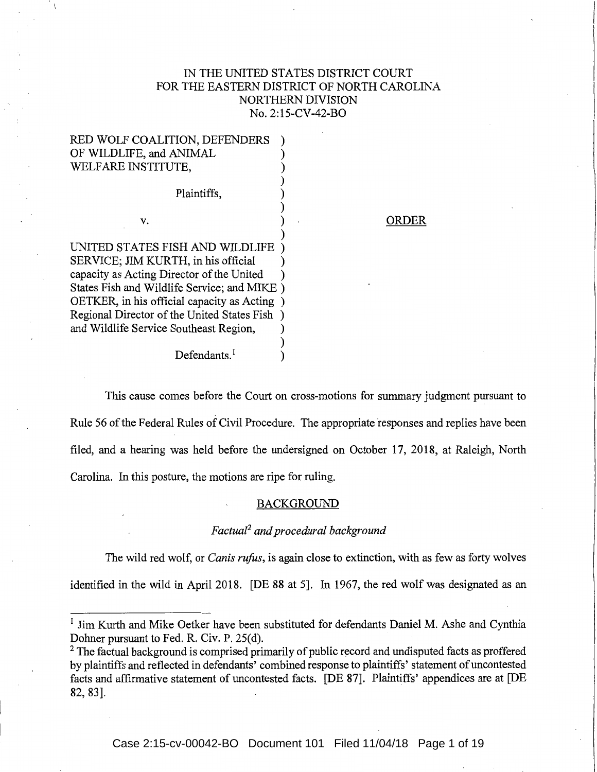# IN THE UNITED STATES DISTRICT COURT FOR THE EASTERN DISTRICT OF NORTH CAROLINA NORTHERN DIVISION No. 2:15-CV-42-BO

| RED WOLF COALITION, DEFENDERS               |  |
|---------------------------------------------|--|
| OF WILDLIFE, and ANIMAL                     |  |
| WELFARE INSTITUTE,                          |  |
|                                             |  |
| Plaintiffs,                                 |  |
|                                             |  |
| V.                                          |  |
|                                             |  |
| UNITED STATES FISH AND WILDLIFE             |  |
| SERVICE; JIM KURTH, in his official         |  |
| capacity as Acting Director of the United   |  |
| States Fish and Wildlife Service; and MIKE) |  |
| OETKER, in his official capacity as Acting  |  |
| Regional Director of the United States Fish |  |
| and Wildlife Service Southeast Region,      |  |
|                                             |  |
| Defendants.                                 |  |

## ORDER

This cause comes before the Court on cross-motions for summary judgment pursuant to Rule 56 of the Federal Rules of Civil Procedure. The appropriate responses and replies have been filed, and a hearing was held before the undersigned on October 17, 2018, at Raleigh, North Carolina. In this posture, the motions are ripe for ruling.

# BACKGROUND

# *Factual2 and procedural background*

The wild red wolf, or *Canis rufus,* is again close to extinction, with as few as forty wolves identified in the wild in April 2018. [DE 88 at 5]. In 1967, the red wolf was designated as an

<sup>&</sup>lt;sup>1</sup> Jim Kurth and Mike Oetker have been substituted for defendants Daniel M. Ashe and Cynthia Dohner pursuant to Fed. R. Civ. P. 25(d).

<sup>&</sup>lt;sup>2</sup> The factual background is comprised primarily of public record and undisputed facts as proffered by plaintiffs and reflected in defendants' combined response to plaintiffs' statement of uncontested facts and affirmative statement of uncontested facts. [DE 87]. Plaintiffs' appendices are at [DE 82, 83].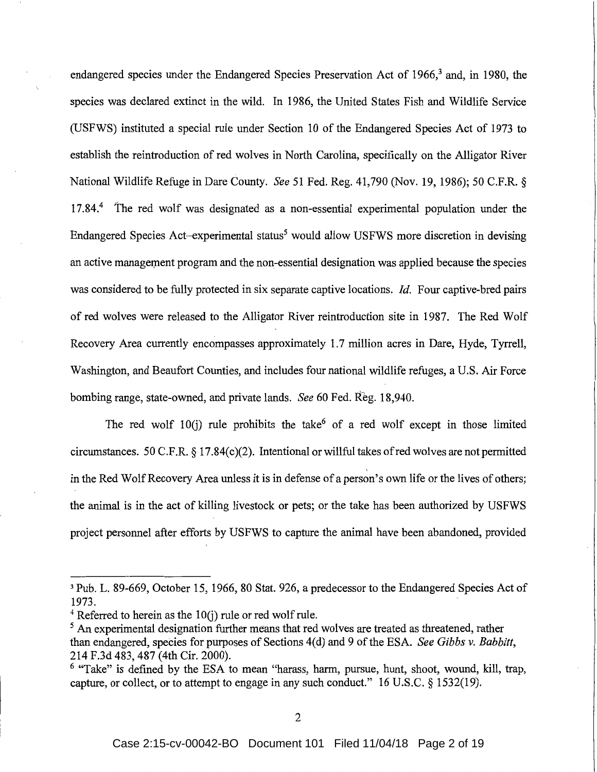endangered species under the Endangered Species Preservation Act of 1966,<sup>3</sup> and, in 1980, the species was declared extinct in the wild. In 1986, the United States Fish and Wildlife Service (USFWS) instituted a special rule under Section 10 of the Endangered Species Act of 1973 to establish the reintroduction of red wolves in North Carolina, specifically on the Alligator River National Wildlife Refuge in Dare County. *See* 51 Fed. Reg. 41,790 (Nov. 19, 1986); 50 C.F.R. § 17.84.<sup>4</sup> The red wolf was designated as a non-essential experimental population under the Endangered Species Act-experimental status<sup>5</sup> would allow USFWS more discretion in devising an active management program and the non-essential designation was applied because the species was considered to be fully protected in six separate captive locations. *Id.* Four captive-bred pairs of red wolves were released to the Alligator River reintroduction site in 1987. The Red Wolf Recovery Area currently encompasses approximately 1.7 million acres in Dare, Hyde, Tyrrell, Washington, and Beaufort Counties, and includes four national wildlife refuges, a U.S. Air Force bombing range, state-owned, and private lands. *See* 60 Fed. Reg. 18,940.

The red wolf 10(i) rule prohibits the take<sup>6</sup> of a red wolf except in those limited circumstances. 50 C.F.R.  $\S 17.84(c)(2)$ . Intentional or willful takes of red wolves are not permitted in the Red Wolf Recovery Area unless it is in defense of a person's own life or the lives of others; the animal is in the act of killing livestock or pets; or the take has been authorized by USFWS project personnel after efforts by USFWS to capture the animal have been abandoned, provided

<sup>3</sup> Pub. L. 89-669, October 15, 1966, 80 Stat. 926, a predecessor to the Endangered Species Act of 1973.

 $4$  Referred to herein as the 10(j) rule or red wolf rule.

 $<sup>5</sup>$  An experimental designation further means that red wolves are treated as threatened, rather</sup> than endangered, species for purposes of Sections 4( d) and 9 of the ESA. *See Gibbs v. Babbitt,*  214 F.3d 483, 487 (4th Cir. 2000).

<sup>&</sup>lt;sup>6</sup> "Take" is defined by the ESA to mean "harass, harm, pursue, hunt, shoot, wound, kill, trap, capture, or collect, or to attempt to engage in any such conduct." 16 U.S.C. § 1532(19).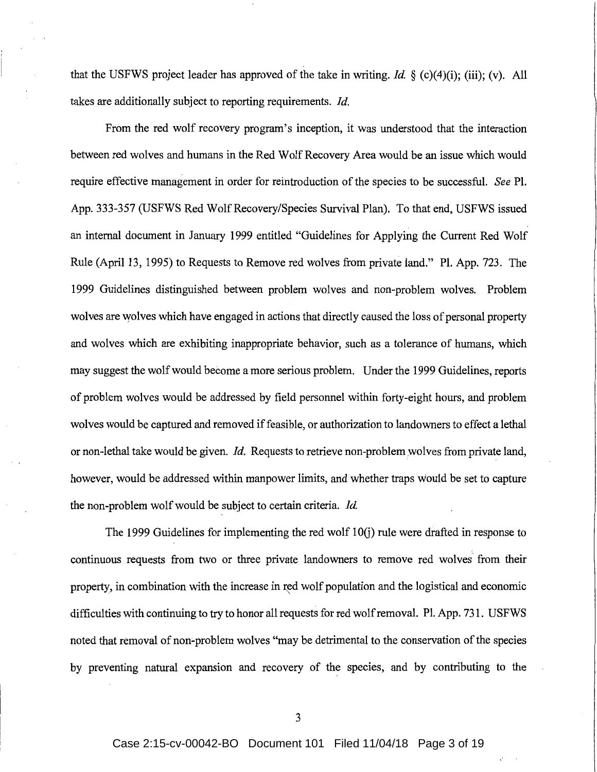that the USFWS project leader has approved of the take in writing. *Id.* § (c)(4)(i); (iii); (v). All takes are additionally subject to reporting requirements. *Id.* 

From the red wolf recovery program's inception, it was understood that the interaction between red wolves and humans in the Red Wolf Recovery Area would be an issue which would require effective management in order for reintroduction of the species to be successful. *See* Pl. App. 333-357 (USFWS Red Wolf Recovery/Species Survival Plan). To that end, USFWS issued an internal document in January 1999 entitled "Guidelines for Applying the Current Red Wolf Rule (April 13, 1995) to Requests to Remove red wolves from private land." Pl. App. 723. The 1999 Guidelines distinguished between problem wolves and non-problem wolves. Problem wolves are wolves which have engaged in actions that directly caused the loss of personal property and wolves which are exhibiting inappropriate behavior, such as a tolerance of humans, which may suggest the wolf would become a more serious problem. Under the 1999 Guidelines, reports of problem wolves would be addressed by field personnel within forty-eight hours, and problem wolves would be captured and removed if feasible, or authorization to landowners to effect a lethal or non-lethal take would be given. *Id.* Requests to retrieve non-problem:wolves from private land, however, would be addressed within manpower limits, and whether traps would be set to capture the non-problem wolf would be subject to certain criteria. *Id.* 

The 1999 Guidelines for implementing the red wolf  $10(i)$  rule were drafted in response to continuous requests from two or three private landowners to remove red wolves from their property, in combination with the increase in red wolf population and the logistical and economic difficulties with continuing to try to honor all requests for red wolf removal. Pl. App. 731. USFWS noted that removal of non:-problem wolves "may be detrimental to the conservation of the species by preventing natural expansion and recovery of the species, and by contributing to the

3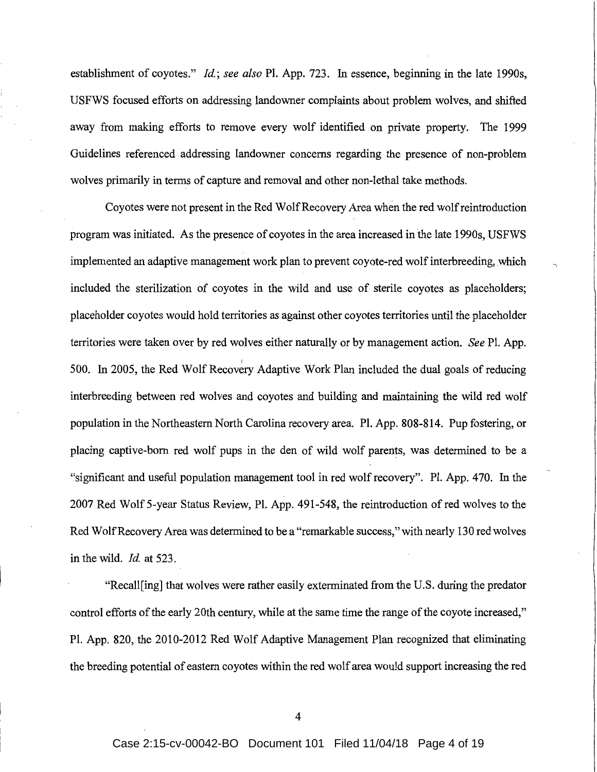establishment of coyotes." *Id; see also* Pl. App. 723. In essence, beginning in the late 1990s, USFWS focused efforts on addressing landowner complaints about problem wolves, and shifted away from making efforts to remove every wolf identified on private property. The 1999 Guidelines referenced addressing landowner concerns regarding the presence of non-problem wolves primarily in terms of capture and removal and other non-lethal take methods.

Coyotes were not present in the Red Wolf Recovery Area when the red wolf reintroduction program was initiated. As the presence of coyotes in the area increased in the late 1990s, USFWS implemented an adaptive management work plan to prevent coyote-red wolf interbreeding, which included the sterilization of coyotes in the wild and use of sterile coyotes as placeholders; placeholder coyotes would hold territories as against other coyotes territories until the placeholder territories were taken over by red wolves either naturally or by management action. *See* PL App. 500. In 2005, the Red Wolf Recovery Adaptive Work Plan included the dual goals of reducing interbreeding between red wolves and coyotes and building and maintaining the wild red wolf population in the Northeastern North Carolina recovery area. PL App. 808-814. Pup fostering, or placing captive-born red wolf pups in the den of wild wolf parents, was determined to be a "significant and useful population management tool in red wolf recovery". PL App. 470. In the 2007 Red Wolf 5-year Status Review, PL App. 491-548, the reintroduction of red wolves to the Red Wolf Recovery Area was determined to be a "remarkable success," with nearly 130 red wolves in the wild. *Id* at 523.

"Recall[ing] that wolves were rather easily exterminated from the U.S. during the predator control efforts of the early 20th century, while at the same time the range of the coyote increased," PL App. 820, the 2010-2012 Red Wolf Adaptive Management Plan recognized that eliminating the breeding potential of eastern coyotes within the red wolf area would support increasing the red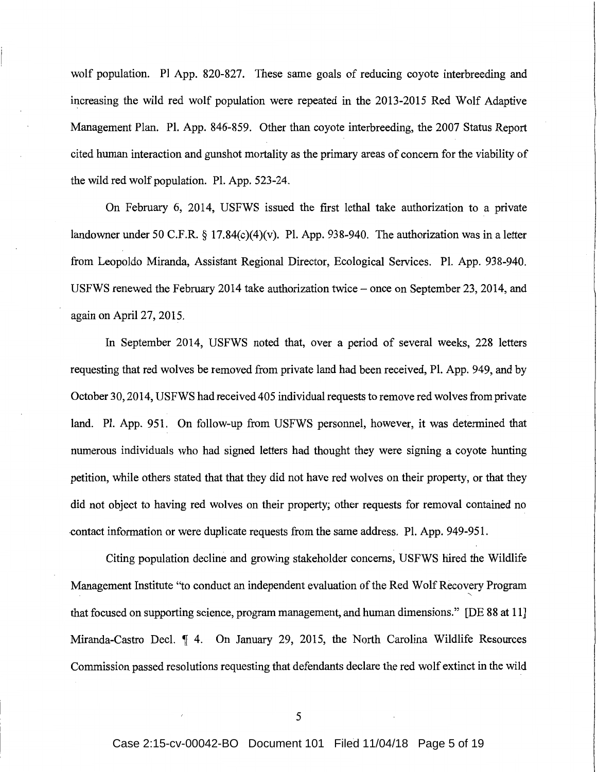wolf population. Pl App. 820-827. These same goals of reducing coyote interbreeding and increasing the wild red wolf population were repeated in the 2013-2015 Red Wolf Adaptive Management Plan. Pl. App. 846-859. Other than coyote interbreeding, the 2007 Status Report cited human interaction and gunshot mortality as the primary areas of concern for the viability of the wild red wolf population. Pl. App. 523-24.

On February 6, 2014, USFWS issued the first lethal take authorization to a private landowner under 50 C.F.R. § 17.84(c)(4)(v). Pl. App. 938-940. The authorization was in a letter from Leopoldo Miranda, Assistant Regional Director, Ecological Services. PL App. 938-940. USFWS renewed the February 2014 take authorization twice – once on September 23, 2014, and again on April 27, 2015.

In September 2014, USFWS noted that, over a period of several weeks, 228 letters requesting that red wolves be removed from private land had been received, Pl. App. 949, and by October 30, 2014, USFWS had received 405 individual requests to remove red wolves from private land. PL App. 951. On follow-up from USFWS personnel, however, it was determined that numerous individuals who had signed letters had thought they were signing a coyote hunting petition, while others stated that that they did not have red wolves on their property, or that they did not object to having red wolves on their property; other requests for removal contained no -contact information or were duplicate requests from the same address. PL App. 949-951.

Citing population decline and growing stakeholder concerns, USFWS hired the Wildlife Management Institute "to conduct an independent evaluation of the Red Wolf Recovery Program ' that focused on supporting science, program management, and human dimensions." [DE 88 at 11] Miranda-Castro Decl.  $\parallel$  4. On January 29, 2015, the North Carolina Wildlife Resources Commission passed resolutions requesting that defendants declare the red wolf extinct in the wild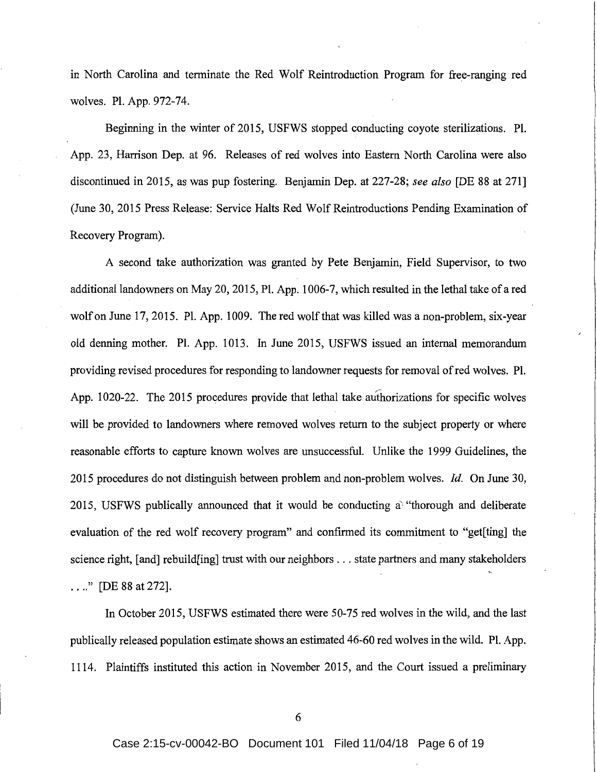in North Carolina and terminate the Red Wolf Reintroduction Program for free-ranging red wolves. Pl. App. 972-74.

Beginning in the winter of 2015, USFWS stopped conducting coyote sterilizations. Pl. App. 23, Harrison Dep. at 96. Releases of red wolves into Eastern North Carolina were also discontinued in 2015, as was pup fostering. Benjamin Dep. at 227-28; *see also* [DE 88 at 271] (June 30, 2015 Press Release: Service Halts Red Wolf Reintroductions Pending Examination of Recovery Program).

A second take authorization was granted by Pete Benjamin, Field Supervisor, to two additional landowners on May 20, 2015, Pl. App. 1006-7, which resulted in the lethal take of a red wolf on June 17, 2015. Pl. App. 1009. The red wolf that was killed was a non-problem, six-year old denning mother. Pl. App. 1013. In June 2015, USFWS issued an internal memorandum providing revised procedures for responding to landowner requests for removal of red wolves. Pl. App. 1020-22. The 2015 procedures provide that lethal take authorizations for specific wolves will be provided to landowners where removed wolves return to the subject property or where reasonable efforts to capture known wolves are unsuccessful. Unlike the 1999 Guidelines, the 2015 procedures do not distinguish between problem and non-problem wolves. *Id.* On June 30, 2015, USFWS publically announced that it would be conducting a' "thorough and deliberate evaluation of the red wolf recovery program" and confirmed its commitment to "get[ting] the science right, [and] rebuild[ing] trust with our neighbors ... state partners and many stakeholders  $\ldots$ ." [DE 88 at 272].

In October 2015, USFWS estimated there were 50-75 red wolves in the wild, and the last publically released population estimate shows an estimated 46-60 red wolves in the wild. Pl. App. 1114. Plaintiffs instituted this action in November 2015, and the Court issued a preliminary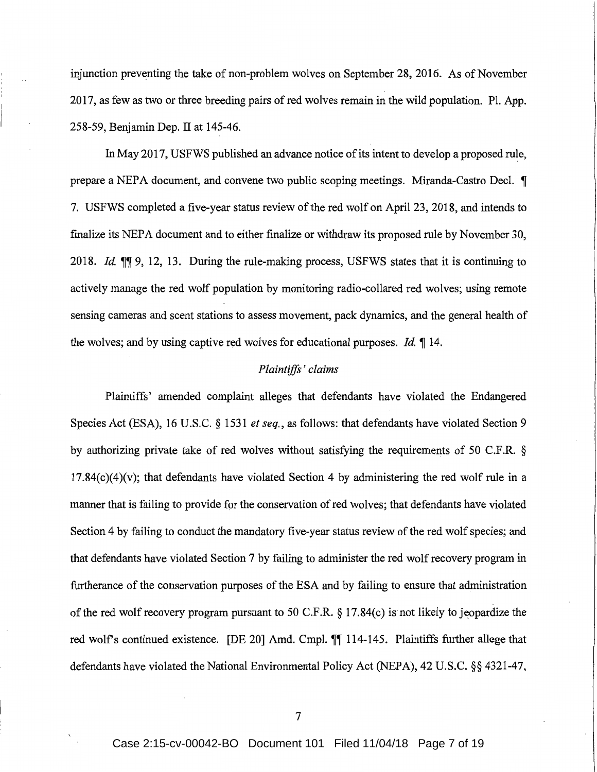injunction preventing the take of non-problem wolves on September 28, 2016. As of November 2017, as few as two or three breeding pairs of red wolves remain in the wild population. PL App. 258-59, Benjamin Dep. II at 145-46.

In May 2017, USFWS published an advance notice of its intent to develop a proposed rule, prepare a NEPA document, and convene two public scoping meetings. Miranda-Castro Decl.  $\P$ 7. USFWS completed a five-year status review of the red wolf on April 23, 2018, and intends to finalize its NEPA document and to either finalize or withdraw its proposed rule by November 30, 2018. *Id.* ifif 9, 12, 13. During the rule-making process, USFWS states that it is continuing to actively manage the red wolf population by monitoring radio-collared red wolves; using remote sensing cameras and scent stations to assess movement, pack dynamics, and the general health of the wolves; and by using captive red wolves for educational purposes. *Id.*  $\lll$  14.

## *Plaintiffs' claims*

Plaintiffs' amended complaint alleges that defendants have violated the Endangered Species Act (ESA), 16 U.S.C. § 1531 *et seq.,* as follows: that defendants have violated Section 9 by authorizing private take of red wolves without satisfying the requirements of 50 C.F.R. §  $17.84(c)(4)(v)$ ; that defendants have violated Section 4 by administering the red wolf rule in a manner that is failing to provide for the conservation of red wolves; that defendants have violated Section 4 by failing to conduct the mandatory five-year status review of the red wolf species; and that defendants have violated Section 7 by failing to administer the red wolf recovery program in furtherance of the conservation purposes of the ESA and by failing to ensure that administration of the red wolf recovery program pursuant to 50 C.F.R. § 17.84(c) is not likely to jeopardize the red wolf's continued existence. [DE 20] Amd. Cmpl.  $\P\P$  114-145. Plaintiffs further allege that defendants have violated the National Environmental Policy Act (NEPA), 42 U.S.C. §§ 4321-47,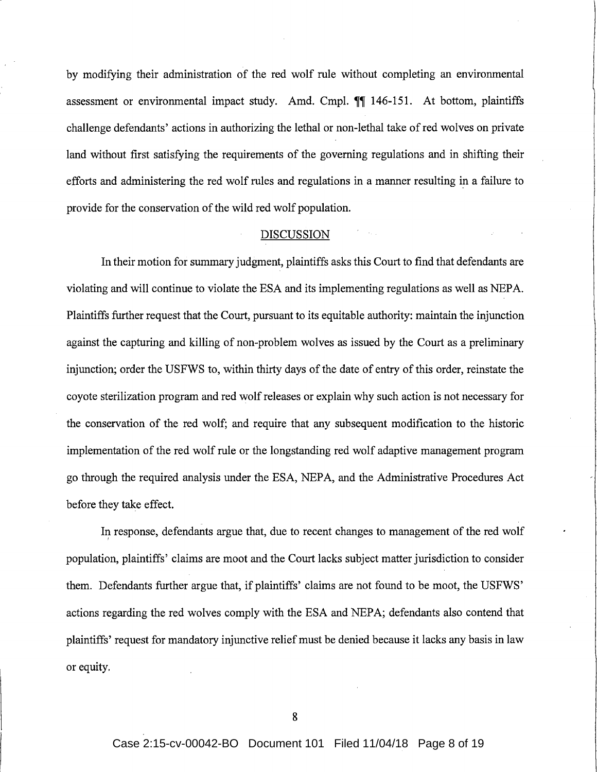by modifying their administration of the red wolf rule without completing an environmental assessment or environmental impact study. Amd. Cmpl.  $\P\P$  146-151. At bottom, plaintiffs challenge defendants' actions in authorizing the lethal or non-lethal take of red wolves on private land without first satisfying the requirements of the governing regulations and in shifting their efforts and administering the red wolf rules and regulations in a manner resulting in a failure to provide for the conservation of the wild red wolf population.

# DISCUSSION

In their motion for summary judgment, plaintiffs asks this Court to find that defendants are violating and will continue to violate the ESA and its implementing regulations as well as NEPA. Plaintiffs further request that the Court, pursuant to its equitable authority: maintain the injunction against the capturing and killing of non-problem wolves as issued by the Court as a preliminary injunction; order the USFWS to, within thirty days of the date of entry of this order, reinstate the coyote sterilization program and red wolf releases or explain why such action is not necessary for the conservation of the red wolf; and require that any subsequent modification to the historic implementation of the red wolf rule or the longstanding red wolf adaptive management program go through the required analysis under the ESA, NEPA, and the Administrative Procedures Act before they take effect.

In response, defendants argue that, due to recent changes to management of the red wolf population, plaintiffs' claims are moot and the Court lacks subject matter jurisdiction to consider them. Defendants further argue that, if plaintiffs' claims are not found to be moot, the USFWS' actions regarding the red wolves comply with the ESA and NEPA; defendants also contend that plaintiffs' request for mandatory injunctive relief must be denied because it lacks any basis in law or equity.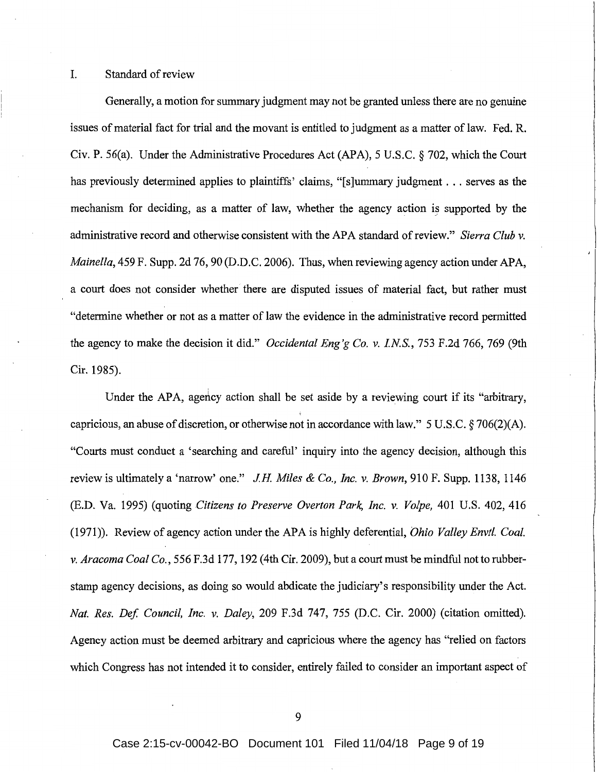### I. Standard of review

Generally, a motion for summary judgment may not be granted unless there are no genuine issues of material fact for trial and the movant is entitled to judgment as a matter of law. Fed. R. Civ. P. 56(a). Under the Administrative Procedures Act (APA), 5 U.S.C. § 702, which the Court has previously determined applies to plaintiffs' claims, "[s]ummary judgment . . . serves as the mechanism for deciding, as a matter of law, whether the agency action is supported by the administrative record and otherwise consistent with the APA standard ofreview." *Sierra Club* v. *Mainella,* 459 F. Supp. 2d 76, 90 (D.D.C. 2006). Thus, when reviewing agency action under APA, a court does not consider whether there are disputed issues of material fact, but rather must "determine whether or not as a matter of law the evidence in the administrative record permitted the agency to make the decision it did." *Occidental Eng'g Co.* v. *INS.,* 753 F.2d 766, 769 (9th Cir. 1985).

Under the APA, agency action shall be set aside by a reviewing court if its "arbitrary, capricious, an abuse of discretion, or otherwise not in accordance with law." 5 U.S.C. § 706(2)(A). "Courts must conduct a 'searching and careful' inquiry into the agency decision, although this review is ultimately a 'narrow' one." *JH Miles* & *Co., Inc.* v. *Brown,* 910 F. Supp. 1138, 1146 (E.D. Va. 1995) (quoting *Citizens to Preserve Overton Park, Inc.* v. *Volpe,* 401 U.S. 402, 416 (1971)). Review of agency action under the APA is highly deferential, *Ohio Valley Envtl. Coal.* v. *Aracoma Coal Co.,* 556 F.3d 177, 192 (4th Cir. 2009), but a court must be mindful not to rubberstamp agency decisions, as doing so would abdicate the judiciary's responsibility under the Act. *Nat. Res. Def Council, Inc.* v. *Daley,* 209 F.3d 747, 755 (D.C. Cir. 2000) (citation omitted). Agency action must be deemed arbitrary and capricious where the agency has "relied on factors which Congress has not intended it to consider, entirely failed to consider an important aspect of

9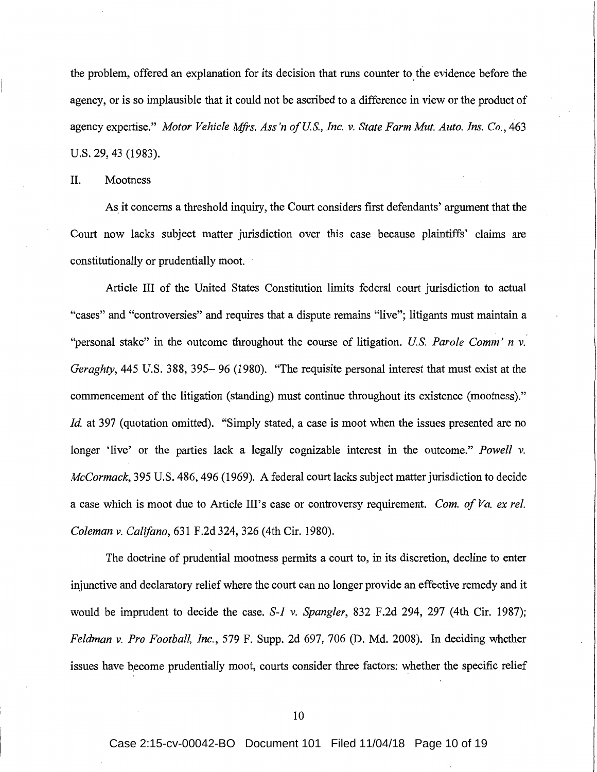the problem, offered an explanation for its decision that runs counter to the evidence before the agency, or is so implausible that it could not be ascribed to a difference in view or the product of agency expertise." *Motor Vehicle Mfrs. Ass'n of US., Inc. v. State Farm Mut. Auto. Ins. Co.,* 463 U.S. 29, 43 (1983).

II. Mootness

As it concerns a threshold inquiry, the Court considers first defendants' argument that the Court now lacks subject matter jurisdiction over this case because plaintiffs' claims are constitutionally or prudentially moot.

Article III of the United States Constitution limits federal court jurisdiction to actual "cases" and "controversies" and requires that a dispute remains "live"; litigants must maintain a "personal stake" in the outcome throughout the course of litigation. *US. Parole Comm' n v. Geraghty*, 445 U.S. 388, 395–96 (1980). "The requisite personal interest that must exist at the commencement of the litigation (standing) must continue throughout its existence (mootness)." *Id.* at 397 (quotation omitted). "Simply stated, a case is moot when the issues presented are no longer 'live' or the parties lack a legally cognizable interest in the outcome." *Powell v. McCormack,* 395 U.S. 486, 496 (1969). A federal court lacks subject matter jurisdiction to decide a case which is moot due to Article Ill's case or controversy requirement. *Com. of Va. ex rel. Coleman v. Califano,* 631 F .2d 324, 326 (4th Cir. 1980).

The doctrine of prudential mootness permits a court to, in its discretion, decline to enter injunctive and declaratory relief where the court can no longer provide an effective remedy and it would be imprudent to decide the case. *S-1 v. Spangler,* 832 F.2d 294, 297 (4th Cir. 1987); *Feldman v. Pro Football, Inc.,* 579 F. Supp. 2d 697, 706 (D. Md. 2008). In deciding whether issues have become prudentially moot, courts consider three factors: whether the specific relief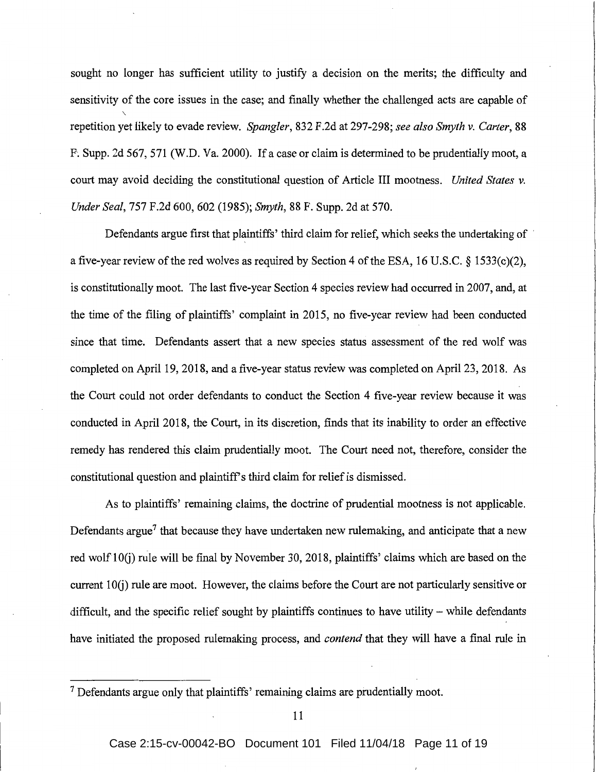sought no longer has sufficient utility to justify a decision on the merits; the difficulty and sensitivity of the core issues in the case; and finally whether the challenged acts are capable of repetition yet likely to evade review. *Spangler,* 832 F.2d at 297-298; *see also Smyth v. Carter,* 88 F; Supp. 2d 567, 571 (W.D. Va. 2000). If a case or claim is determined to be prudentially moot, a court may avoid deciding the constitutional question of Article III mootness. *United States v. Under Seal,* 757 F.2d 600, 602 (1985); *Smyth,* 88 F. Supp. 2d at 570.

Defendants argue first that plaintiffs' third claim for relief, which seeks the undertaking of a five-year review of the red wolves as required by Section 4 of the ESA, 16 U.S.C. § 1533(c)(2), is constitutionally moot. The last five-year Section 4 species review had occurred in 2007, and, at the time of the filing of plaintiffs' complaint in 2015, no five-year review had been conducted since that time. Defendants assert that a new species status assessment of the red wolf was completed on April 19, 2018, and a five-year status review was completed on April 23, 2018. As the Court could not order defendants to conduct the Section 4 five-year review because it was conducted in April 2018, the Court, in its discretion, finds that its inability to order an effective remedy has rendered this claim prudentially moot. The Court need not, therefore, consider the constitutional question and plaintiff's third claim for relief is dismissed.

As to plaintiffs' remaining claims, the doctrine of prudential mootness is not applicable. Defendants argue<sup>7</sup> that because they have undertaken new rulemaking, and anticipate that a new red wolf 10(j) rule will be final by November 30, 2018, plaintiffs' claims which are based on the current  $10(i)$  rule are moot. However, the claims before the Court are not particularly sensitive or difficult, and the specific relief sought by plaintiffs continues to have utility  $-$  while defendants have initiated the proposed rulemaking process, and *contend* that they will have a final rule in

<sup>&</sup>lt;sup>7</sup> Defendants argue only that plaintiffs' remaining claims are prudentially moot.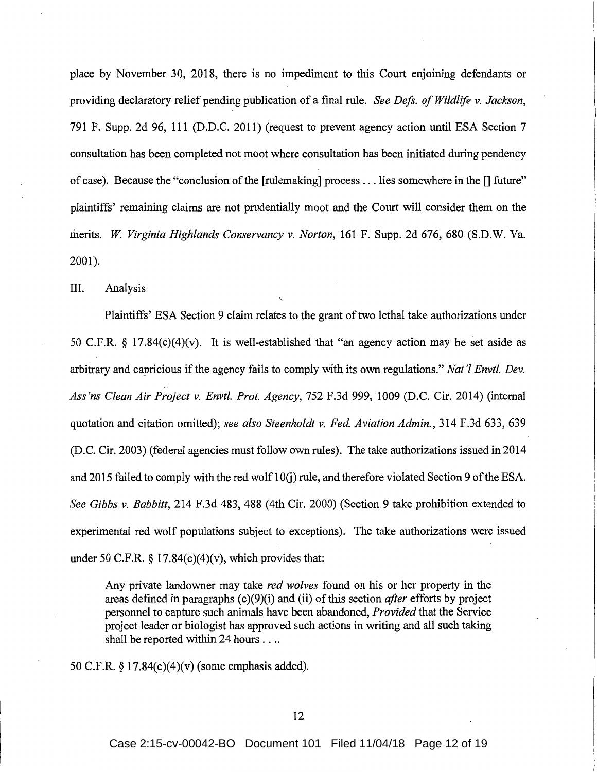place by November 30, 2018, there is no impediment to this Court enjoining defendants or providing declaratory relief pending publication of a final rule. *See Deft. of Wildlife v. Jackson,*  791 F. Supp. 2d 96, 111 (D.D.C. 2011) (request to prevent agency action until ESA Section 7 consultation has been completed not moot where consultation has been initiated during pendency of case). Because the "conclusion of the [ rulemaking] process ... lies somewhere in the [] future" plaintiffs' remaining claims are not prudentially moot and the Court will consider them on the merits. *W Virginia Highlands Conservancy v. Norton,* 161 F. Supp. 2d 676, 680 (S.D.W. Va. 2001).

III. Analysis

Plaintiffs' ESA Section 9 claim relates to the grant of two lethal take authorizations under 50 C.F.R. § 17.84(c)(4)(v). It is well-established that "an agency action may be set aside as arbitrary and capricious if the agency fails to comply with its own regulations." *Nat'l Envtl. Dev. Ass'ns Clean Air Project v. Envtl. Prof. Agency,* 752 F.3d 999, 1009 (D.C. Cir. 2014) (internal quotation and citation omitted); *see also Steenholdt v. Fed. Aviation Admin.,* 314 F.3d 633, 639 (D.C. Cir. 2003) (federal agencies must follow own rules). The take authorizations issued in 2014 and 2015 failed to comply with the red wolf 10(j) rule, and therefore violated Section 9 of the ESA. *See Gibbs v. Babbitt,* 214 F.3d 483, 488 (4th Cir. 2000) (Section 9 take prohibition extended to experimental red wolf populations subject to exceptions). The take authorizations were issued under 50 C.F.R.  $\S$  17.84(c)(4)(v), which provides that:

Any private landowner may take *red wolves* found on his or her property in the areas defined in paragraphs (c)(9)(i) and (ii) of this section *after* efforts by project personnel to capture such animals have been abandoned, *Provided* that the Service project leader or biologist has approved such actions in writing and all such taking shall be reported within 24 hours ....

50 C.F.R. § l 7.84(c)(4)(v) (some emphasis added).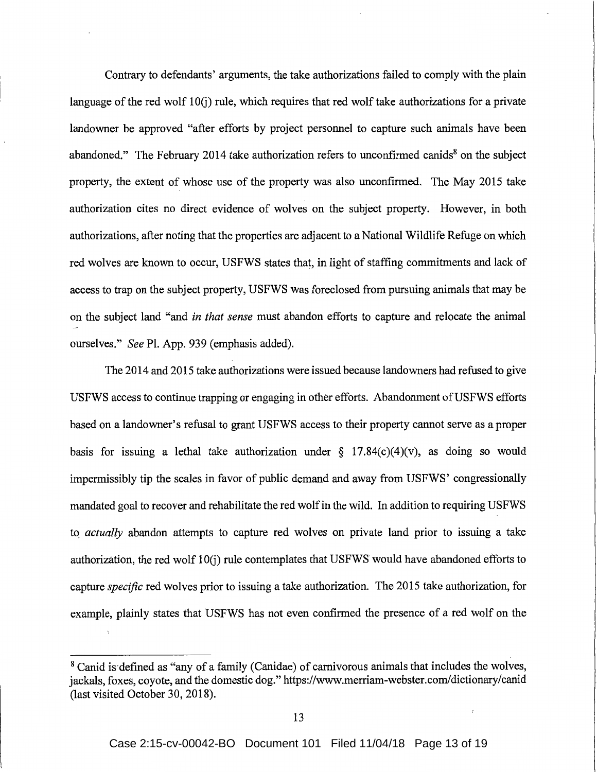Contrary to defendants' arguments, the take authorizations failed to comply with the plain language of the red wolf 10(j) rule, which requires that red wolf take authorizations for a private landowner be approved "after efforts by project personnel to capture such animals have been abandoned." The February 2014 take authorization refers to unconfirmed canids<sup>8</sup> on the subject property, the extent of whose use of the property was also unconfirmed. The May 2015 take authorization cites no direct evidence of wolves on the subject property. However, in both authorizations, after noting that the properties are adjacent to a National Wildlife Refuge on which red wolves are known to occur, USFWS states that, in light of staffing commitments and lack of access to trap on the subject property, USFWS was foreclosed from pursuing animals that may be on the subject land "and *in that sense* must abandon efforts to capture and relocate the animal ourselves." *See* Pl. App. 939 (emphasis added).

The 2014 and 2015 take authorizations were issued because landowners had refused to give USFWS access to continue trapping or engaging in other efforts. Abandonment of USFWS efforts based on a landowner's refusal to grant USFWS access to their property cannot serve as a proper basis for issuing a lethal take authorization under  $\S$  17.84(c)(4)(v), as doing so would impermissibly tip the scales in favor of public demand and away from USFWS' congressionally mandated goal to recover and rehabilitate the red wolf in the wild. In addition to requiring USFWS to *actually* abandon attempts to capture red wolves on private land prior to issuing a take authorization, the red wolf 10(j) rule contemplates that USFWS would have abandoned efforts to capture *specific* red wolves prior to issuing a take authorization. The 2015 take authorization, for example, plainly states that USFWS has not even confirmed the presence of a red wolf on the

<sup>&</sup>lt;sup>8</sup> Canid is defined as "any of a family (Canidae) of carnivorous animals that includes the wolves, jackals, foxes, coyote, and the domestic dog." https://www.merriam-webster.com/dictionary/canid (last visited October 30, 2018).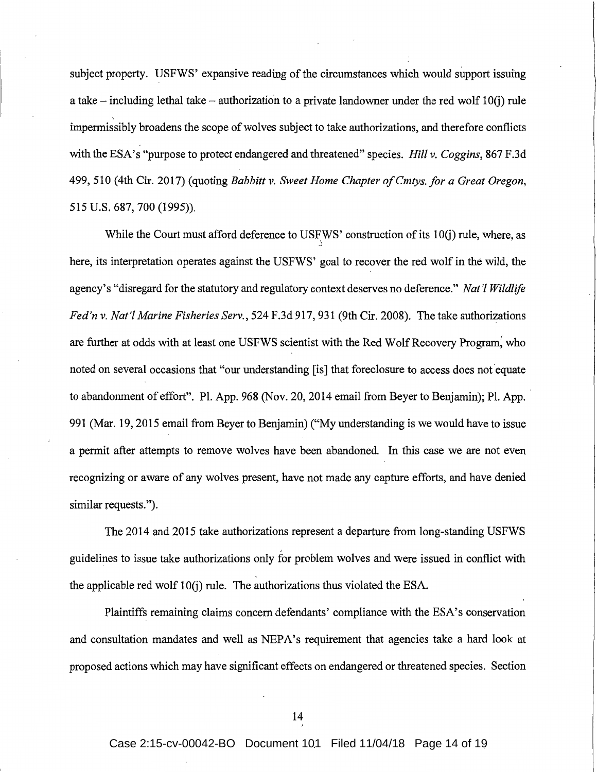subject property. USFWS' expansive reading of the circumstances which would support issuing a take – including lethal take – authorization to a private landowner under the red wolf  $10(i)$  rule impermissibly broadens the scope of wolves subject to take authorizations, and therefore conflicts with the ESA's "purpose to protect endangered and threatened" species. *Hill v. Coggins,* 867 F.3d 499, 510 (4th Cir. 2017) (quoting *Babbitt v. Sweet Home Chapter ofCmtys. for a Great Oregon,*  515 U.S. 687, 700 (1995)).

While the Court must afford deference to USFWS' construction of its 10(j) rule, where, as j here, its interpretation operates against the USFWS' goal to recover the red wolf in the wild, the agency's "disregard for the statutory and regulatory context deserves no deference." *Nat 'I Wildlife Fed'n v. Nat'/ Marine Fisheries Serv.,* 524 F.3d 917, 931 (9th Cir. 2008). The take authorizations are further at odds with at least one USFWS scientist with the Red Wolf Recovery Program, who noted on several occasions that "our understanding [is] that foreclosure to access does not equate to abandonment of effort". Pl. App. 968 (Nov. 20, 2014 email from Beyer to Benjamin); Pl. App. 991 (Mar. 19, 2015 email from Beyer to Benjamin) ("My understanding is we would have to issue a permit after attempts to remove wolves have been abandoned. In this case we are not even recognizing or aware of any wolves present, have not made any capture efforts, and have denied similar requests.").

The 2014 and 2015 take authorizations represent a departure from long-standing USFWS guidelines to issue take authorizations only for problem wolves and were issued in conflict with the applicable red wolf  $10(i)$  rule. The authorizations thus violated the ESA.

Plaintiffs remaining claims concern defendants' compliance with the ESA's conservation and consultation mandates and well as NEPA's requirement that agencies take a hard look at proposed actions which may have significant effects on endangered or threatened species. Section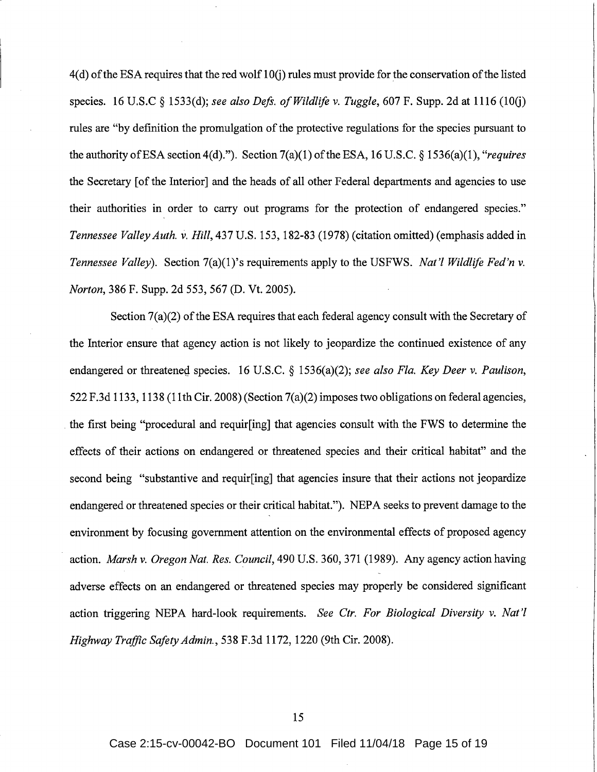$4(d)$  of the ESA requires that the red wolf  $10(i)$  rules must provide for the conservation of the listed species. 16 U.S.C § 1533(d); *see also Deft. of Wildlife* v. *Tuggle,* 607 F. Supp. 2d at 1116 (IOG) rules are "by definition the promulgation of the protective regulations for the species pursuant to the authority of ESA section  $4(d)$ ."). Section  $7(a)(1)$  of the ESA, 16 U.S.C. § 1536(a)(1), "*requires* the Secretary [of the Interior] and the heads of all other Federal departments and agencies to use their authorities in order to carry out programs for the protection of endangered species." *Tennessee ValleyAuth.* v. Hill,437U.S.153, 182-83 (1978)(citationomitted)(emphasisaddedin *Tennessee Valley).* Section 7(a)(l)'s requirements apply to the USFWS. *Nat'! Wildlife Fed'n* v. *Norton,* 386 F. Supp. 2d 553, 567 (D. Vt. 2005).

Section 7(a)(2) of the ESA requires that each federal agency consult with the Secretary of the Interior ensure that agency action is not likely to jeopardize the continued existence of any endangered or threatened species. 16 U.S.C. § 1536(a)(2); *see also Fla. Key Deer v. Paulison*, 522 F.3d 1133, 1138 (11th Cir. 2008) (Section 7(a)(2) imposes two obligations on federal agencies, . the first being "procedural and requir[ing] that agencies consult with the FWS to determine the effects of their actions on endangered or threatened species and their critical habitat" and the second being "substantive and requir[ing] that agencies insure that their actions not jeopardize endangered or threatened species or their critical habitat."). NEPA seeks to prevent damage to the environment by focusing government attention on the environmental effects of proposed agency action. *Marsh v. Oregon Nat. Res. Council,* 490 U.S. 360, 371 (1989). Any agency action having adverse effects on an endangered or threatened species may properly be considered significant action triggering NEPA hard-look requirements. *See Ctr. For Biological Diversity* v. *Nat'! Highway Traffic Safety Admin.,* 538 F.3d 1172, 1220 (9th Cir. 2008).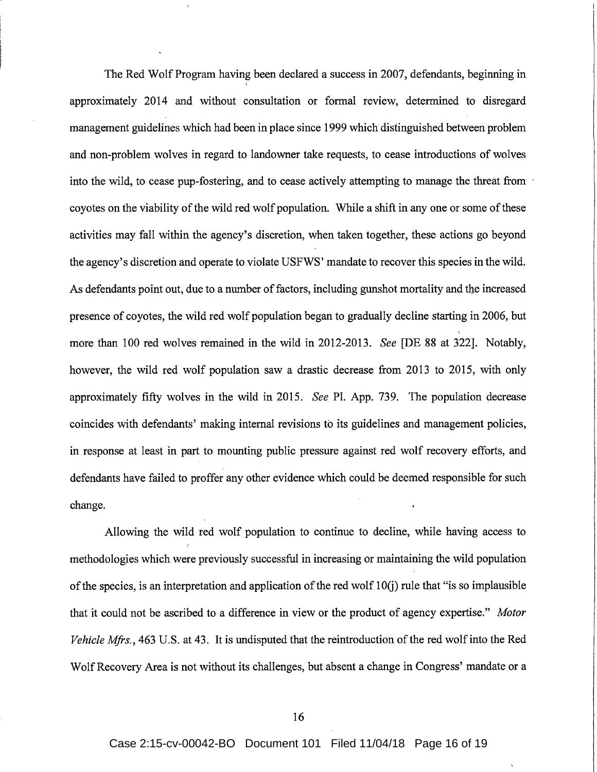The Red Wolf Program having been declared a success in 2007, defendants, beginning in \ approximately 2014 and without consultation or formal review, determined to disregard management guidelines which had been in place since 1999 which distinguished between problem and non-problem wolves in regard to landowner take requests, to cease introductions of wolves into the wild, to cease pup-fostering, and to cease actively attempting to manage the threat from coyotes on the viability of the wild red wolf population. While a shift in any one or some of these activities may fall within the agency's discretion, when taken together, these actions go beyond the agency's discretion and operate to violate USFWS' mandate to recover this species in the wild. As defendants point out, due to a number of factors, including gunshot mortality and the increased presence of coyotes, the wild red wolf population began to gradually decline starting in 2006, but more than 100 red wolves remained in the wild in 2012-2013. *See* [DE 88 at 322]. Notably, however, the wild red wolf population saw a drastic decrease from 2013 to 2015, with only approximately fifty wolves in the wild in 2015. *See* PI. App. 739. The population decrease coincides with defendants' making internal revisions to its guidelines and management policies, in response at least in part to mounting public pressure against red wolf recovery efforts, and defendants have failed to proffer any other evidence which could be deemed responsible for such change.

Allowing the wild red wolf population to continue to decline, while having access to methodologies which were previously successful in increasing or maintaining the wild population of the species, is an interpretation and application of the red wolf  $10(i)$  rule that "is so implausible that it could not be ascribed to a difference in view or the product of agency expertise." *Motor Vehicle Mfrs.,* 463 U.S. at 43. It is undisputed that the reintroduction of the red wolf into the Red Wolf Recovery Area is not without its challenges, but absent a change in Congress' mandate or a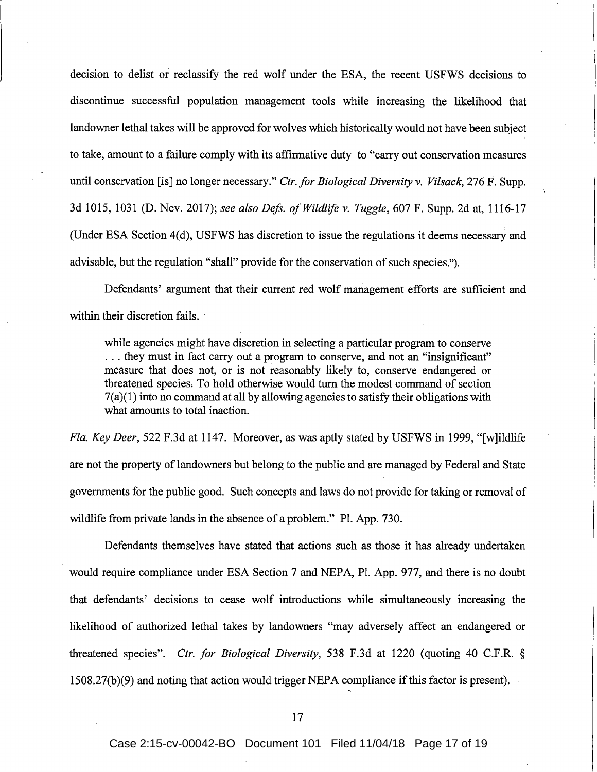decision to delist or reclassify the red wolf under the ESA, the recent USFWS decisions to discontinue successful population management tools while increasing the likelihood that landowner lethal takes will be approved for wolves which historically would not have been subject to take, amount to a failure comply with its affirmative duty to "carry out conservation measures until conservation [is] no longer necessary." *Ctr. for Biological Diversity v. Vi/sack,* 276 F. Supp. 3d 1015, 1031 (D. Nev. 2017); *see also Deft. of Wildlife v. Tuggle,* 607 F. Supp. 2d at, 1116-17 (Under ESA Section 4(d), USFWS has discretion to issue the regulations it deems necessary and advisable, but the regulation "shall" provide for the conservation of such species.").

Defendants' argument that their current red wolf management efforts are sufficient and within their discretion fails.

while agencies might have discretion in selecting a particular program to conserve ... they must in fact carry out a program to conserve, and not an "insignificant" measure that does not, or is not reasonably likely to, conserve endangered or threatened species, To hold otherwise would turn the modest command of section  $7(a)(1)$  into no command at all by allowing agencies to satisfy their obligations with what amounts to total inaction.

*Fla. Key Deer,* 522 F.3d at 1147. Moreover, as was aptly stated by USFWS in 1999, "[w]ildlife are not the property of landowners but belong to the public and are managed by Federal and State governments for the public good. Such concepts and laws do not provide for taking or removal of wildlife from private lands in the absence of a problem." Pl. App. 730.

Defendants themselves have stated that actions such as those it has already undertaken would require compliance under ESA Section 7 and NEPA, PL App. 977, and there is no doubt that defendants' decisions to cease wolf introductions while simultaneously increasing the likelihood of authorized lethal takes by landowners "may adversely affect an endangered or threatened species". *Ctr. for Biological Diversity,* 538 F.3d at 1220 (quoting 40 C.F.R. §  $1508.27(b)(9)$  and noting that action would trigger NEPA compliance if this factor is present).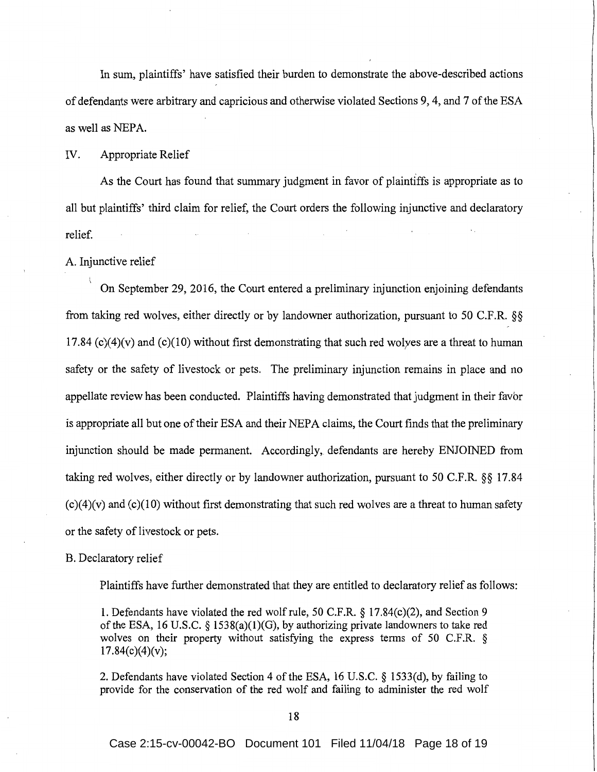In sum, plaintiffs' have satisfied their burden to demonstrate the above-described actions of defendants were arbitrary and capricious and otherwise violated Sections 9, 4, and 7 of the ESA as well as NEPA.

### IV. Appropriate Relief

As the Court has found that summary judgment in favor of plaintiffs is appropriate as to all but plaintiffs' third claim for relief, the Court orders the following injunctive and declaratory relief.

A. Injunctive relief

On September 29, 2016, the Court entered a preliminary injunction enjoining defendants from taking red wolves, either directly or by landowner authorization, pursuant to 50 C.F.R.  $\S$ § 17.84  $(c)(4)(v)$  and  $(c)(10)$  without first demonstrating that such red wolves are a threat to human safety or the safety of livestock or pets. The preliminary injunction remains in place and no appellate review has been conducted. Plaintiffs having demonstrated that judgment in their favor is appropriate all but one of their ESA and their NEPA claims, the Court finds that the preliminary injunction should be made permanent. Accordingly, defendants are hereby ENJOINED from taking red wolves, either directly or by landowner authorization, pursuant to 50 C.F.R. §§ 17.84  $(c)(4)(v)$  and  $(c)(10)$  without first demonstrating that such red wolves are a threat to human safety or the safety of livestock or pets.

#### B. Declaratory relief

Plaintiffs have further demonstrated that they are entitled to declaratory relief as follows:

1. Defendants have violated the red wolf rule, 50 C.F.R. § 17.84(c)(2), and Section 9 of the ESA, 16 U.S.C. § 1538(a)(1)(G), by authorizing private landowners to take red wolves on their property without satisfying the express terms of 50 C.F.R. §  $17.84(c)(4)(v);$ 

2. Defendants have violated Section 4 of the ESA, 16 U.S.C. § 1533(d), by failing to provide for the conservation of the red wolf and failing to administer the red wolf